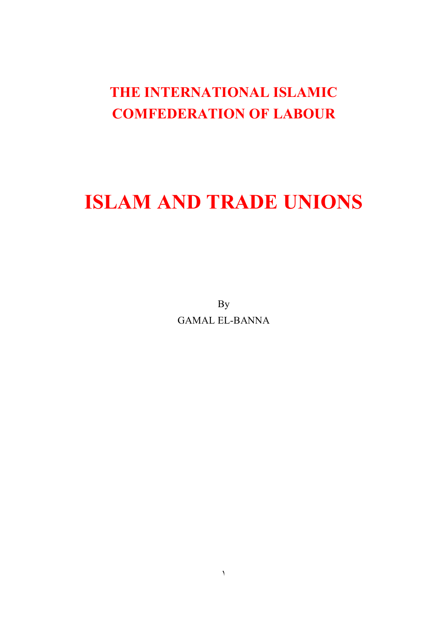## **THE INTERNATIONAL ISLAMIC COMFEDERATION OF LABOUR**

# **ISLAM AND TRADE UNIONS**

By GAMAL EL-BANNA

 $\mathcal{N}$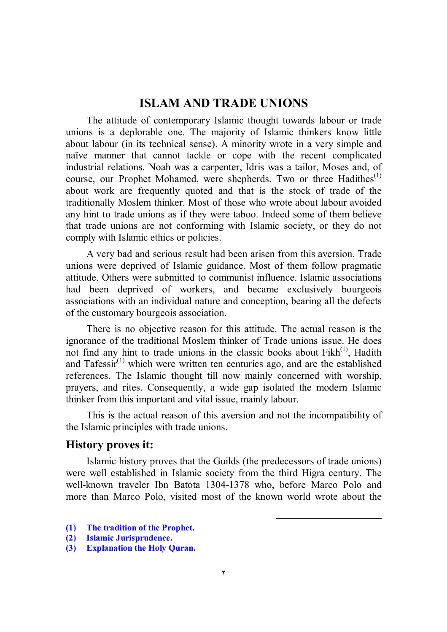#### **ISLAM AND TRADE UNIONS**

The attitude of contemporary Islamic thought towards labour or trade unions is a deplorable one. The majority of Islamic thinkers know little about labour (in its technical sense). A minority wrote in a very simple and naïve manner that cannot tackle or cope with the recent complicated industrial relations. Noah was a carpenter, Idris was a tailor, Moses and, of course, our Prophet Mohamed, were shepherds. Two or three Hadithes<sup>(1)</sup> about work are frequently quoted and that is the stock of trade of the traditionally Moslem thinker. Most of those who wrote about labour avoided any hint to trade unions as if they were taboo. Indeed some of them believe that trade unions are not conforming with Islamic society, or they do not comply with Islamic ethics or policies.

A very bad and serious result had been arisen from this aversion. Trade unions were deprived of Islamic guidance. Most of them follow pragmatic attitude. Others were submitted to communist influence. Islamic associations had been deprived of workers, and became exclusively bourgeois associations with an individual nature and conception, bearing all the defects of the customary bourgeois association.

There is no objective reason for this attitude. The actual reason is the ignorance of the traditional Moslem thinker of Trade unions issue. He does not find any hint to trade unions in the classic books about  $Fikh^{(1)}$ , Hadith and Tafessi $r^{(1)}$  which were written ten centuries ago, and are the established references. The Islamic thought till now mainly concerned with worship, prayers, and rites. Consequently, a wide gap isolated the modern Islamic thinker from this important and vital issue, mainly labour.

This is the actual reason of this aversion and not the incompatibility of the Islamic principles with trade unions.

#### **History proves it:**

Islamic history proves that the Guilds (the predecessors of trade unions) were well established in Islamic society from the third Higra century. The well-known traveler Ibn Batota 1304-1378 who, before Marco Polo and more than Marco Polo, visited most of the known world wrote about the

l

- **(1) The tradition of the Prophet.**
- **(2) Islamic Jurisprudence.**
- **(3) Explanation the Holy Quran.**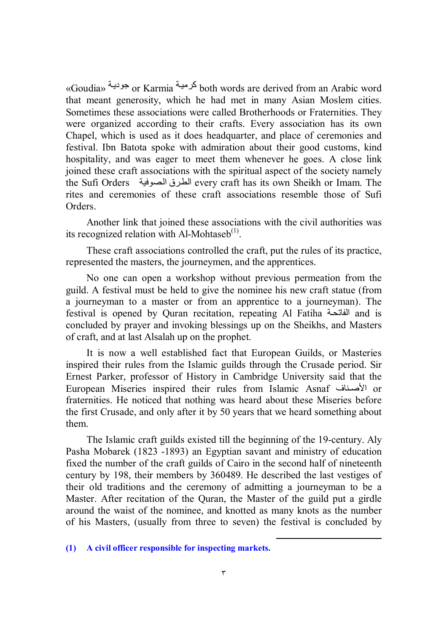«Goudia» أكرمية or Karmia كرمية both words are derived from an Arabic word that meant generosity, which he had met in many Asian Moslem cities. Sometimes these associations were called Brotherhoods or Fraternities. They were organized according to their crafts. Every association has its own Chapel, which is used as it does headquarter, and place of ceremonies and festival. Ibn Batota spoke with admiration about their good customs, kind hospitality, and was eager to meet them whenever he goes. A close link joined these craft associations with the spiritual aspect of the society namely the Sufi Orders الطرق الصوفية every craft has its own Sheikh or Imam. The rites and ceremonies of these craft associations resemble those of Sufi Orders.

Another link that joined these associations with the civil authorities was its recognized relation with Al-Mohtaseb $<sup>(1)</sup>$ .</sup>

These craft associations controlled the craft, put the rules of its practice, represented the masters, the journeymen, and the apprentices.

No one can open a workshop without previous permeation from the guild. A festival must be held to give the nominee his new craft statue (from a journeyman to a master or from an apprentice to a journeyman). The festival is opened by Quran recitation, repeating Al Fatiha الفاتحة and is concluded by prayer and invoking blessings up on the Sheikhs, and Masters of craft, and at last Alsalah up on the prophet.

It is now a well established fact that European Guilds, or Masteries inspired their rules from the Islamic guilds through the Crusade period. Sir Ernest Parker, professor of History in Cambridge University said that the European Miseries inspired their rules from Islamic Asnaf الأصناف or fraternities. He noticed that nothing was heard about these Miseries before the first Crusade, and only after it by 50 years that we heard something about them.

The Islamic craft guilds existed till the beginning of the 19-century. Aly Pasha Mobarek (1823 -1893) an Egyptian savant and ministry of education fixed the number of the craft guilds of Cairo in the second half of nineteenth century by 198, their members by 360489. He described the last vestiges of their old traditions and the ceremony of admitting a journeyman to be a Master. After recitation of the Quran, the Master of the guild put a girdle around the waist of the nominee, and knotted as many knots as the number of his Masters, (usually from three to seven) the festival is concluded by

-

**<sup>(1)</sup> A civil officer responsible for inspecting markets.**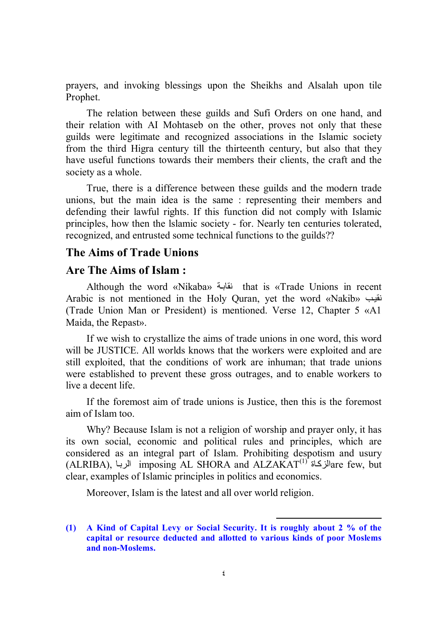prayers, and invoking blessings upon the Sheikhs and Alsalah upon tile Prophet.

The relation between these guilds and Sufi Orders on one hand, and their relation with AI Mohtaseb on the other, proves not only that these guilds were legitimate and recognized associations in the Islamic society from the third Higra century till the thirteenth century, but also that they have useful functions towards their members their clients, the craft and the society as a whole.

True, there is a difference between these guilds and the modern trade unions, but the main idea is the same : representing their members and defending their lawful rights. If this function did not comply with Islamic principles, how then the lslamic society - for. Nearly ten centuries tolerated, recognized, and entrusted some technical functions to the guilds??

#### **The Aims of Trade Unions**

#### **Are The Aims of Islam :**

Although the word «Nikaba» نقابة that is «Trade Unions in recent Arabic is not mentioned in the Holy Quran, yet the word «Nakib» بنقیب (Trade Union Man or President) is mentioned. Verse 12, Chapter 5 «A1 Maida, the Repast».

If we wish to crystallize the aims of trade unions in one word, this word will be JUSTICE. All worlds knows that the workers were exploited and are still exploited, that the conditions of work are inhuman; that trade unions were established to prevent these gross outrages, and to enable workers to live a decent life.

If the foremost aim of trade unions is Justice, then this is the foremost aim of Islam too.

Why? Because Islam is not a religion of worship and prayer only, it has its own social, economic and political rules and principles, which are considered as an integral part of Islam. Prohibiting despotism and usury  $\rm (ALRIBA),$  الزبا imposing  $\rm AL$  SHORA and  $\rm ALZAKAT^{(1)}$  are few, but clear, examples of Islamic principles in politics and economics.

Moreover, Islam is the latest and all over world religion.

l

**<sup>(1)</sup> A Kind of Capital Levy or Social Security. It is roughly about 2 % of the capital or resource deducted and allotted to various kinds of poor Moslems and non-Moslems.**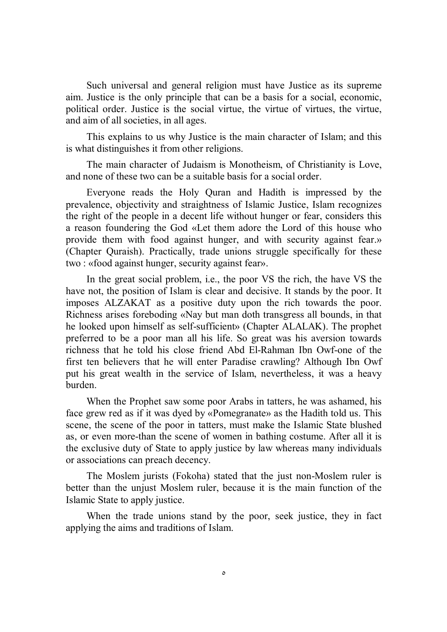Such universal and general religion must have Justice as its supreme aim. Justice is the only principle that can be a basis for a social, economic, political order. Justice is the social virtue, the virtue of virtues, the virtue, and aim of all societies, in all ages.

This explains to us why Justice is the main character of Islam; and this is what distinguishes it from other religions.

The main character of Judaism is Monotheism, of Christianity is Love, and none of these two can be a suitable basis for a social order.

Everyone reads the Holy Quran and Hadith is impressed by the prevalence, objectivity and straightness of Islamic Justice, Islam recognizes the right of the people in a decent life without hunger or fear, considers this a reason foundering the God «Let them adore the Lord of this house who provide them with food against hunger, and with security against fear.» (Chapter Quraish). Practically, trade unions struggle specifically for these two : «food against hunger, security against fear».

In the great social problem, i.e., the poor VS the rich, the have VS the have not, the position of Islam is clear and decisive. It stands by the poor. It imposes ALZAKAT as a positive duty upon the rich towards the poor. Richness arises foreboding «Nay but man doth transgress all bounds, in that he looked upon himself as self-sufficient» (Chapter ALALAK). The prophet preferred to be a poor man all his life. So great was his aversion towards richness that he told his close friend Abd El-Rahman Ibn Owf-one of the first ten believers that he will enter Paradise crawling? Although Ibn Owf put his great wealth in the service of Islam, nevertheless, it was a heavy burden.

When the Prophet saw some poor Arabs in tatters, he was ashamed, his face grew red as if it was dyed by «Pomegranate» as the Hadith told us. This scene, the scene of the poor in tatters, must make the Islamic State blushed as, or even more-than the scene of women in bathing costume. After all it is the exclusive duty of State to apply justice by law whereas many individuals or associations can preach decency.

The Moslem jurists (Fokoha) stated that the just non-Moslem ruler is better than the unjust Moslem ruler, because it is the main function of the Islamic State to apply justice.

When the trade unions stand by the poor, seek justice, they in fact applying the aims and traditions of Islam.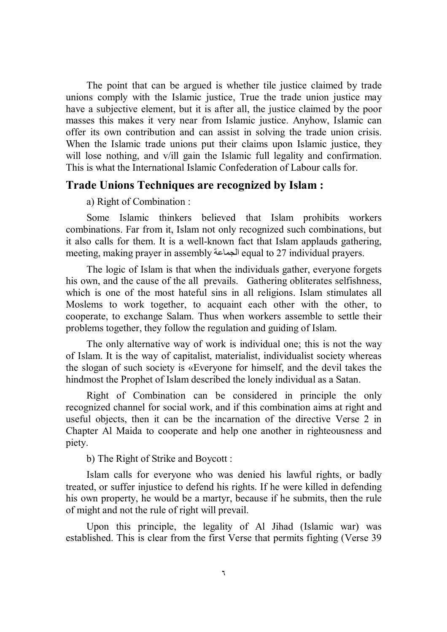The point that can be argued is whether tile justice claimed by trade unions comply with the Islamic justice, True the trade union justice may have a subjective element, but it is after all, the justice claimed by the poor masses this makes it very near from Islamic justice. Anyhow, Islamic can offer its own contribution and can assist in solving the trade union crisis. When the Islamic trade unions put their claims upon Islamic justice, they will lose nothing, and v/ill gain the Islamic full legality and confirmation. This is what the International Islamic Confederation of Labour calls for.

#### **Trade Unions Techniques are recognized by Islam :**

a) Right of Combination :

Some Islamic thinkers believed that Islam prohibits workers combinations. Far from it, Islam not only recognized such combinations, but it also calls for them. It is a well-known fact that Islam applauds gathering, meeting, making prayer in assembly الجماعة equal to 27 individual prayers.

The logic of Islam is that when the individuals gather, everyone forgets his own, and the cause of the all prevails. Gathering obliterates selfishness, which is one of the most hateful sins in all religions. Islam stimulates all Moslems to work together, to acquaint each other with the other, to cooperate, to exchange Salam. Thus when workers assemble to settle their problems together, they follow the regulation and guiding of Islam.

The only alternative way of work is individual one; this is not the way of Islam. It is the way of capitalist, materialist, individualist society whereas the slogan of such society is «Everyone for himself, and the devil takes the hindmost the Prophet of Islam described the lonely individual as a Satan.

Right of Combination can be considered in principle the only recognized channel for social work, and if this combination aims at right and useful objects, then it can be the incarnation of the directive Verse 2 in Chapter Al Maida to cooperate and help one another in righteousness and piety.

b) The Right of Strike and Boycott :

Islam calls for everyone who was denied his lawful rights, or badly treated, or suffer injustice to defend his rights. If he were killed in defending his own property, he would be a martyr, because if he submits, then the rule of might and not the rule of right will prevail.

Upon this principle, the legality of Al Jihad (Islamic war) was established. This is clear from the first Verse that permits fighting (Verse 39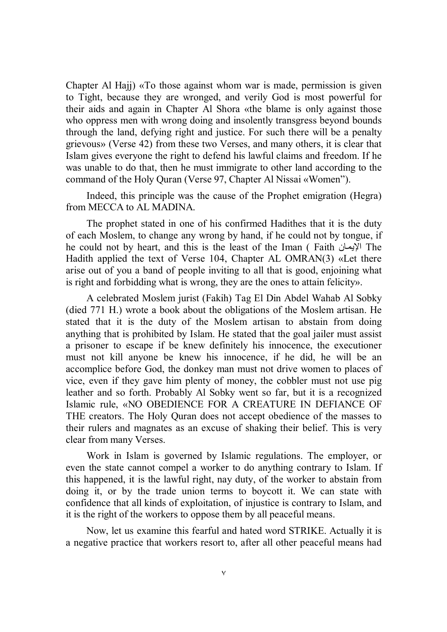Chapter Al Hajj) «To those against whom war is made, permission is given to Tight, because they are wronged, and verily God is most powerful for their aids and again in Chapter Al Shora «the blame is only against those who oppress men with wrong doing and insolently transgress beyond bounds through the land, defying right and justice. For such there will be a penalty grievous» (Verse 42) from these two Verses, and many others, it is clear that Islam gives everyone the right to defend his lawful claims and freedom. If he was unable to do that, then he must immigrate to other land according to the command of the Holy Quran (Verse 97, Chapter Al Nissai «Women").

Indeed, this principle was the cause of the Prophet emigration (Hegra) from MECCA to AL MADINA.

The prophet stated in one of his confirmed Hadithes that it is the duty of each Moslem, to change any wrong by hand, if he could not by tongue, if he could not by heart, and this is the least of the Iman ( Faith الإيمان The Hadith applied the text of Verse 104, Chapter AL OMRAN(3) «Let there arise out of you a band of people inviting to all that is good, enjoining what is right and forbidding what is wrong, they are the ones to attain felicity».

A celebrated Moslem jurist (Fakih) Tag El Din Abdel Wahab Al Sobky (died 771 H.) wrote a book about the obligations of the Moslem artisan. He stated that it is the duty of the Moslem artisan to abstain from doing anything that is prohibited by Islam. He stated that the goal jailer must assist a prisoner to escape if be knew definitely his innocence, the executioner must not kill anyone be knew his innocence, if he did, he will be an accomplice before God, the donkey man must not drive women to places of vice, even if they gave him plenty of money, the cobbler must not use pig leather and so forth. Probably Al Sobky went so far, but it is a recognized Islamic rule, «NO OBEDIENCE FOR A CREATURE IN DEFIANCE OF THE creators. The Holy Quran does not accept obedience of the masses to their rulers and magnates as an excuse of shaking their belief. This is very clear from many Verses.

Work in Islam is governed by Islamic regulations. The employer, or even the state cannot compel a worker to do anything contrary to Islam. If this happened, it is the lawful right, nay duty, of the worker to abstain from doing it, or by the trade union terms to boycott it. We can state with confidence that all kinds of exploitation, of injustice is contrary to Islam, and it is the right of the workers to oppose them by all peaceful means.

Now, let us examine this fearful and hated word STRIKE. Actually it is a negative practice that workers resort to, after all other peaceful means had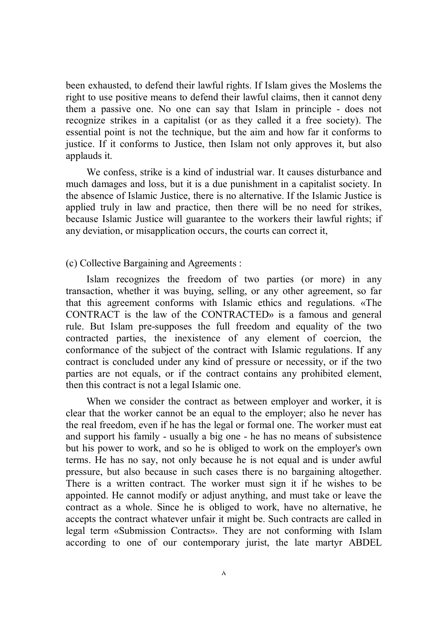been exhausted, to defend their lawful rights. If Islam gives the Moslems the right to use positive means to defend their lawful claims, then it cannot deny them a passive one. No one can say that Islam in principle - does not recognize strikes in a capitalist (or as they called it a free society). The essential point is not the technique, but the aim and how far it conforms to justice. If it conforms to Justice, then Islam not only approves it, but also applauds it.

We confess, strike is a kind of industrial war. It causes disturbance and much damages and loss, but it is a due punishment in a capitalist society. In the absence of Islamic Justice, there is no alternative. If the Islamic Justice is applied truly in law and practice, then there will be no need for strikes, because Islamic Justice will guarantee to the workers their lawful rights; if any deviation, or misapplication occurs, the courts can correct it,

(c) Collective Bargaining and Agreements :

Islam recognizes the freedom of two parties (or more) in any transaction, whether it was buying, selling, or any other agreement, so far that this agreement conforms with Islamic ethics and regulations. «The CONTRACT is the law of the CONTRACTED» is a famous and general rule. But Islam pre-supposes the full freedom and equality of the two contracted parties, the inexistence of any element of coercion, the conformance of the subject of the contract with Islamic regulations. If any contract is concluded under any kind of pressure or necessity, or if the two parties are not equals, or if the contract contains any prohibited element, then this contract is not a legal Islamic one.

When we consider the contract as between employer and worker, it is clear that the worker cannot be an equal to the employer; also he never has the real freedom, even if he has the legal or formal one. The worker must eat and support his family - usually a big one - he has no means of subsistence but his power to work, and so he is obliged to work on the employer's own terms. He has no say, not only because he is not equal and is under awful pressure, but also because in such cases there is no bargaining altogether. There is a written contract. The worker must sign it if he wishes to be appointed. He cannot modify or adjust anything, and must take or leave the contract as a whole. Since he is obliged to work, have no alternative, he accepts the contract whatever unfair it might be. Such contracts are called in legal term «Submission Contracts». They are not conforming with Islam according to one of our contemporary jurist, the late martyr ABDEL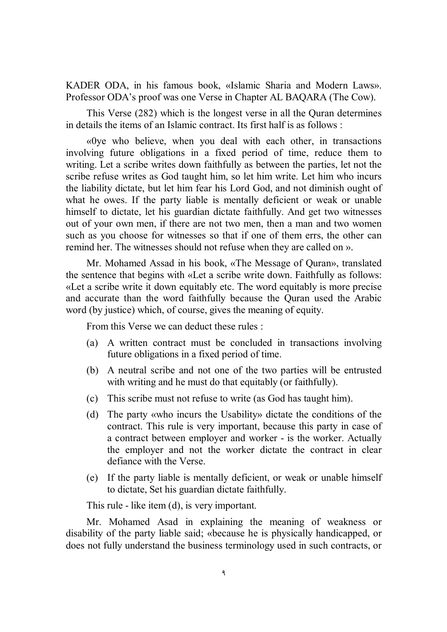KADER ODA, in his famous book, «Islamic Sharia and Modern Laws». Professor ODA's proof was one Verse in Chapter AL BAQARA (The Cow).

This Verse (282) which is the longest verse in all the Quran determines in details the items of an Islamic contract. Its first half is as follows :

«0ye who believe, when you deal with each other, in transactions involving future obligations in a fixed period of time, reduce them to writing. Let a scribe writes down faithfully as between the parties, let not the scribe refuse writes as God taught him, so let him write. Let him who incurs the liability dictate, but let him fear his Lord God, and not diminish ought of what he owes. If the party liable is mentally deficient or weak or unable himself to dictate, let his guardian dictate faithfully. And get two witnesses out of your own men, if there are not two men, then a man and two women such as you choose for witnesses so that if one of them errs, the other can remind her. The witnesses should not refuse when they are called on ».

Mr. Mohamed Assad in his book, «The Message of Quran», translated the sentence that begins with «Let a scribe write down. Faithfully as follows: «Let a scribe write it down equitably etc. The word equitably is more precise and accurate than the word faithfully because the Quran used the Arabic word (by justice) which, of course, gives the meaning of equity.

From this Verse we can deduct these rules :

- (a) A written contract must be concluded in transactions involving future obligations in a fixed period of time.
- (b) A neutral scribe and not one of the two parties will be entrusted with writing and he must do that equitably (or faithfully).
- (c) This scribe must not refuse to write (as God has taught him).
- (d) The party «who incurs the Usability» dictate the conditions of the contract. This rule is very important, because this party in case of a contract between employer and worker - is the worker. Actually the employer and not the worker dictate the contract in clear defiance with the Verse.
- (e) If the party liable is mentally deficient, or weak or unable himself to dictate, Set his guardian dictate faithfully.

This rule - like item (d), is very important.

Mr. Mohamed Asad in explaining the meaning of weakness or disability of the party liable said; «because he is physically handicapped, or does not fully understand the business terminology used in such contracts, or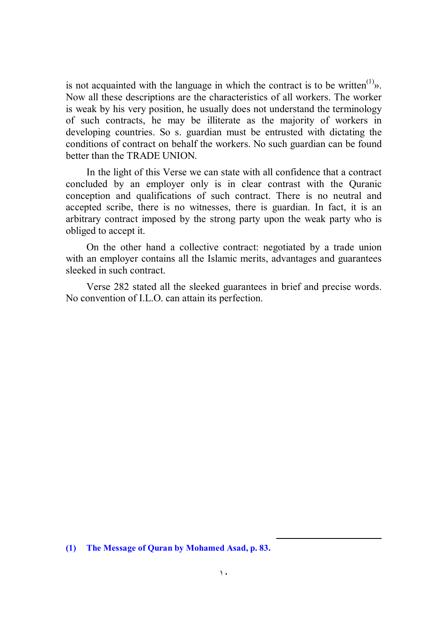is not acquainted with the language in which the contract is to be written<sup>(1)</sup> $\delta$ . Now all these descriptions are the characteristics of all workers. The worker is weak by his very position, he usually does not understand the terminology of such contracts, he may be illiterate as the majority of workers in developing countries. So s. guardian must be entrusted with dictating the conditions of contract on behalf the workers. No such guardian can be found better than the TRADE UNION.

In the light of this Verse we can state with all confidence that a contract concluded by an employer only is in clear contrast with the Quranic conception and qualifications of such contract. There is no neutral and accepted scribe, there is no witnesses, there is guardian. In fact, it is an arbitrary contract imposed by the strong party upon the weak party who is obliged to accept it.

On the other hand a collective contract: negotiated by a trade union with an employer contains all the Islamic merits, advantages and guarantees sleeked in such contract.

Verse 282 stated all the sleeked guarantees in brief and precise words. No convention of I.L.O. can attain its perfection.

-

**<sup>(1)</sup> The Message of Quran by Mohamed Asad, p. 83.**